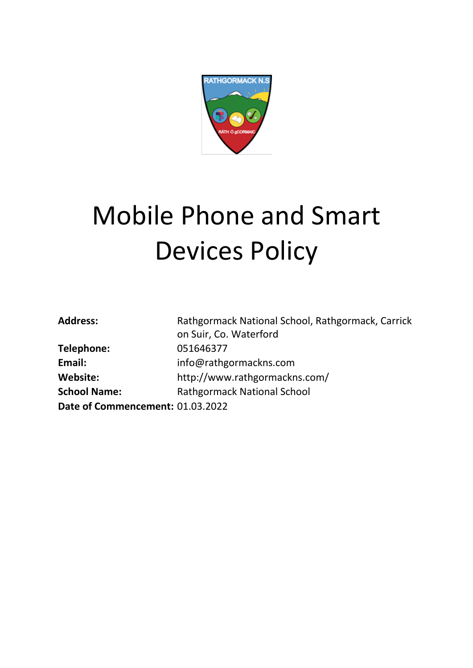

# Mobile Phone and Smart Devices Policy

| <b>Address:</b>                  | Rathgormack National School, Rathgormack, Carrick |
|----------------------------------|---------------------------------------------------|
|                                  | on Suir, Co. Waterford                            |
| Telephone:                       | 051646377                                         |
| Email:                           | info@rathgormackns.com                            |
| <b>Website:</b>                  | http://www.rathgormackns.com/                     |
| <b>School Name:</b>              | <b>Rathgormack National School</b>                |
| Date of Commencement: 01.03.2022 |                                                   |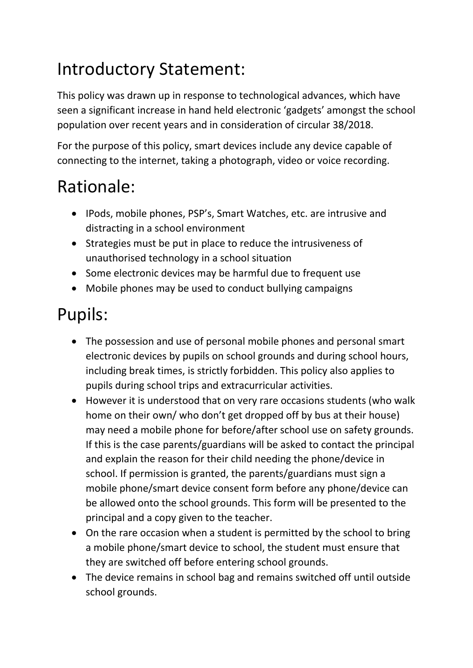# Introductory Statement:

This policy was drawn up in response to technological advances, which have seen a significant increase in hand held electronic 'gadgets' amongst the school population over recent years and in consideration of circular 38/2018.

For the purpose of this policy, smart devices include any device capable of connecting to the internet, taking a photograph, video or voice recording.

#### Rationale:

- IPods, mobile phones, PSP's, Smart Watches, etc. are intrusive and distracting in a school environment
- Strategies must be put in place to reduce the intrusiveness of unauthorised technology in a school situation
- Some electronic devices may be harmful due to frequent use
- Mobile phones may be used to conduct bullying campaigns

# Pupils:

- The possession and use of personal mobile phones and personal smart electronic devices by pupils on school grounds and during school hours, including break times, is strictly forbidden. This policy also applies to pupils during school trips and extracurricular activities.
- However it is understood that on very rare occasions students (who walk home on their own/ who don't get dropped off by bus at their house) may need a mobile phone for before/after school use on safety grounds. If this is the case parents/guardians will be asked to contact the principal and explain the reason for their child needing the phone/device in school. If permission is granted, the parents/guardians must sign a mobile phone/smart device consent form before any phone/device can be allowed onto the school grounds. This form will be presented to the principal and a copy given to the teacher.
- On the rare occasion when a student is permitted by the school to bring a mobile phone/smart device to school, the student must ensure that they are switched off before entering school grounds.
- The device remains in school bag and remains switched off until outside school grounds.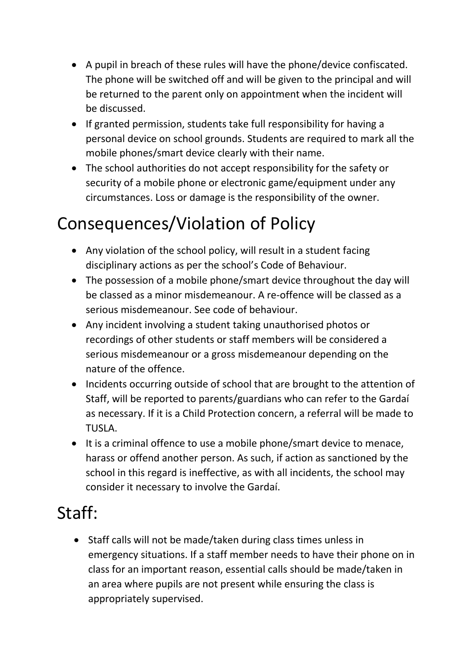- A pupil in breach of these rules will have the phone/device confiscated. The phone will be switched off and will be given to the principal and will be returned to the parent only on appointment when the incident will be discussed.
- If granted permission, students take full responsibility for having a personal device on school grounds. Students are required to mark all the mobile phones/smart device clearly with their name.
- The school authorities do not accept responsibility for the safety or security of a mobile phone or electronic game/equipment under any circumstances. Loss or damage is the responsibility of the owner.

## Consequences/Violation of Policy

- Any violation of the school policy, will result in a student facing disciplinary actions as per the school's Code of Behaviour.
- The possession of a mobile phone/smart device throughout the day will be classed as a minor misdemeanour. A re-offence will be classed as a serious misdemeanour. See code of behaviour.
- Any incident involving a student taking unauthorised photos or recordings of other students or staff members will be considered a serious misdemeanour or a gross misdemeanour depending on the nature of the offence.
- Incidents occurring outside of school that are brought to the attention of Staff, will be reported to parents/guardians who can refer to the Gardaí as necessary. If it is a Child Protection concern, a referral will be made to TUSLA.
- It is a criminal offence to use a mobile phone/smart device to menace, harass or offend another person. As such, if action as sanctioned by the school in this regard is ineffective, as with all incidents, the school may consider it necessary to involve the Gardaí.

## Staff:

 Staff calls will not be made/taken during class times unless in emergency situations. If a staff member needs to have their phone on in class for an important reason, essential calls should be made/taken in an area where pupils are not present while ensuring the class is appropriately supervised.